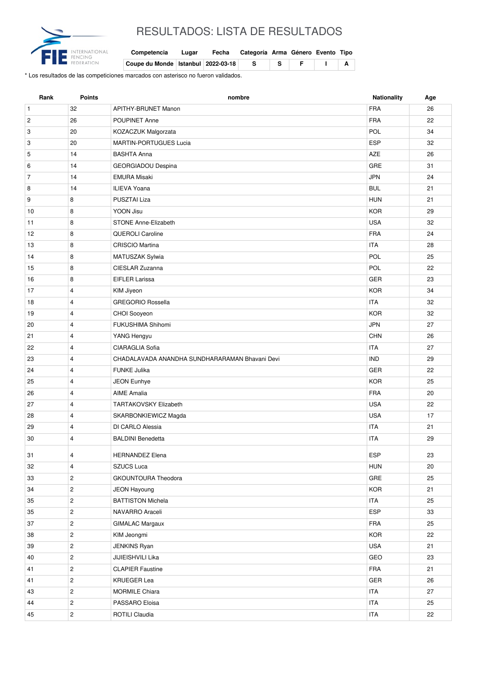

## RESULTADOS: LISTA DE RESULTADOS

| Competencia Lugar Fecha Categoría Arma Género Evento Tipo |  |  |  |  |
|-----------------------------------------------------------|--|--|--|--|
|                                                           |  |  |  |  |

**Coupe du Monde Istanbul 2022-03-18 S S F I A**

\* Los resultados de las competiciones marcados con asterisco no fueron validados.

| Rank           | <b>Points</b>           | nombre                                         | <b>Nationality</b> | Age |
|----------------|-------------------------|------------------------------------------------|--------------------|-----|
| $\mathbf{1}$   | 32                      | APITHY-BRUNET Manon                            | <b>FRA</b>         | 26  |
| $\overline{c}$ | 26                      | POUPINET Anne                                  | <b>FRA</b>         | 22  |
| 3              | 20                      | KOZACZUK Malgorzata                            | POL                | 34  |
| 3              | 20                      | <b>MARTIN-PORTUGUES Lucia</b>                  | <b>ESP</b>         | 32  |
| 5              | 14                      | <b>BASHTA Anna</b>                             | AZE                | 26  |
| 6              | 14                      | <b>GEORGIADOU Despina</b>                      | GRE                | 31  |
| $\overline{7}$ | 14                      | <b>EMURA Misaki</b>                            | <b>JPN</b>         | 24  |
| 8              | 14                      | <b>ILIEVA Yoana</b>                            | <b>BUL</b>         | 21  |
| 9              | 8                       | PUSZTAI Liza                                   | <b>HUN</b>         | 21  |
| 10             | 8                       | YOON Jisu                                      | <b>KOR</b>         | 29  |
| 11             | 8                       | <b>STONE Anne-Elizabeth</b>                    | <b>USA</b>         | 32  |
| 12             | 8                       | <b>QUEROLI Caroline</b>                        | <b>FRA</b>         | 24  |
| 13             | 8                       | <b>CRISCIO Martina</b>                         | <b>ITA</b>         | 28  |
| 14             | 8                       | MATUSZAK Sylwia                                | POL                | 25  |
| 15             | 8                       | CIESLAR Zuzanna                                | POL                | 22  |
| 16             | 8                       | <b>EIFLER Larissa</b>                          | <b>GER</b>         | 23  |
| 17             | $\overline{4}$          | KIM Jiyeon                                     | <b>KOR</b>         | 34  |
| 18             | $\overline{4}$          | <b>GREGORIO Rossella</b>                       | <b>ITA</b>         | 32  |
| 19             | $\overline{4}$          | CHOI Sooyeon                                   | <b>KOR</b>         | 32  |
| 20             | $\overline{4}$          | FUKUSHIMA Shihomi                              | <b>JPN</b>         | 27  |
| 21             | $\overline{4}$          | YANG Hengyu                                    | <b>CHN</b>         | 26  |
| 22             | $\overline{4}$          | <b>CIARAGLIA Sofia</b>                         | <b>ITA</b>         | 27  |
| 23             | $\overline{4}$          | CHADALAVADA ANANDHA SUNDHARARAMAN Bhavani Devi | <b>IND</b>         | 29  |
| 24             | $\overline{4}$          | <b>FUNKE Julika</b>                            | <b>GER</b>         | 22  |
| 25             | $\overline{\mathbf{4}}$ | JEON Eunhye                                    | <b>KOR</b>         | 25  |
| 26             | $\overline{4}$          | <b>AIME Amalia</b>                             | <b>FRA</b>         | 20  |
| 27             | $\overline{4}$          | TARTAKOVSKY Elizabeth                          | <b>USA</b>         | 22  |
| 28             | $\overline{4}$          | SKARBONKIEWICZ Magda                           | <b>USA</b>         | 17  |
| 29             | $\overline{4}$          | DI CARLO Alessia                               | <b>ITA</b>         | 21  |
| 30             | $\overline{\mathbf{4}}$ | <b>BALDINI Benedetta</b>                       | <b>ITA</b>         | 29  |
| 31             | 4                       | <b>HERNANDEZ Elena</b>                         | ESP                | 23  |
| 32             | $\overline{4}$          | SZUCS Luca                                     | <b>HUN</b>         | 20  |
| 33             | $\overline{2}$          | <b>GKOUNTOURA Theodora</b>                     | GRE                | 25  |
| 34             | $\overline{c}$          | JEON Hayoung                                   | <b>KOR</b>         | 21  |
| 35             | $\overline{c}$          | <b>BATTISTON Michela</b>                       | <b>ITA</b>         | 25  |
| 35             | $\overline{c}$          | NAVARRO Araceli                                | ESP                | 33  |
| 37             | $\overline{c}$          | <b>GIMALAC Margaux</b>                         | FRA                | 25  |
| 38             | $\overline{c}$          | KIM Jeongmi                                    | <b>KOR</b>         | 22  |
| 39             | $\overline{c}$          | JENKINS Ryan                                   | <b>USA</b>         | 21  |
| 40             | $\overline{c}$          | JIJIEISHVILI Lika                              | GEO                | 23  |
| 41             | $\overline{c}$          | <b>CLAPIER Faustine</b>                        | FRA                | 21  |
| 41             | $\overline{2}$          | <b>KRUEGER Lea</b>                             | GER                | 26  |
| 43             | $\overline{c}$          | <b>MORMILE Chiara</b>                          | <b>ITA</b>         | 27  |
| 44             | $\overline{2}$          | PASSARO Eloisa                                 | <b>ITA</b>         | 25  |
| 45             | $\overline{c}$          | <b>ROTILI Claudia</b>                          | <b>ITA</b>         | 22  |
|                |                         |                                                |                    |     |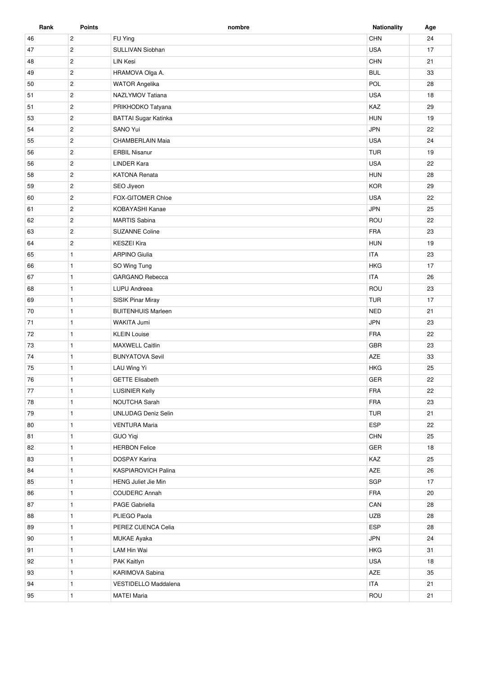| Rank | <b>Points</b>  | nombre                      | <b>Nationality</b> | Age |
|------|----------------|-----------------------------|--------------------|-----|
| 46   | $\overline{c}$ | FU Ying                     | CHN                | 24  |
| 47   | $\overline{c}$ | SULLIVAN Siobhan            | <b>USA</b>         | 17  |
| 48   | $\overline{2}$ | <b>LIN Kesi</b>             | CHN                | 21  |
| 49   | $\overline{c}$ | HRAMOVA Olga A.             | <b>BUL</b>         | 33  |
| 50   | $\overline{2}$ | <b>WATOR Angelika</b>       | POL                | 28  |
| 51   | $\overline{2}$ | NAZLYMOV Tatiana            | <b>USA</b>         | 18  |
| 51   | $\overline{2}$ | PRIKHODKO Tatyana           | KAZ                | 29  |
| 53   | $\overline{c}$ | <b>BATTAI Sugar Katinka</b> | <b>HUN</b>         | 19  |
| 54   | $\overline{2}$ | SANO Yui                    | <b>JPN</b>         | 22  |
| 55   | $\overline{2}$ | <b>CHAMBERLAIN Maia</b>     | <b>USA</b>         | 24  |
| 56   | $\sqrt{2}$     | <b>ERBIL Nisanur</b>        | <b>TUR</b>         | 19  |
| 56   | $\overline{c}$ | <b>LINDER Kara</b>          | <b>USA</b>         | 22  |
| 58   | $\overline{2}$ | <b>KATONA Renata</b>        | <b>HUN</b>         | 28  |
| 59   | $\overline{2}$ | SEO Jiyeon                  | <b>KOR</b>         | 29  |
| 60   | $\overline{2}$ | FOX-GITOMER Chloe           | <b>USA</b>         | 22  |
| 61   | $\overline{2}$ | KOBAYASHI Kanae             | <b>JPN</b>         | 25  |
| 62   | $\overline{c}$ | <b>MARTIS Sabina</b>        | ROU                | 22  |
| 63   | $\overline{2}$ | <b>SUZANNE Coline</b>       | <b>FRA</b>         | 23  |
| 64   | $\mathbf 2$    | <b>KESZEI Kira</b>          | <b>HUN</b>         | 19  |
| 65   | $\mathbf{1}$   | <b>ARPINO Giulia</b>        | <b>ITA</b>         | 23  |
| 66   | $\mathbf{1}$   | SO Wing Tung                | <b>HKG</b>         | 17  |
| 67   | $\mathbf{1}$   | GARGANO Rebecca             | <b>ITA</b>         | 26  |
| 68   | $\mathbf{1}$   | LUPU Andreea                | ROU                | 23  |
| 69   | $\mathbf{1}$   | SISIK Pinar Miray           | <b>TUR</b>         | 17  |
| 70   | $\mathbf{1}$   | <b>BUITENHUIS Marleen</b>   | <b>NED</b>         | 21  |
| 71   | $\mathbf{1}$   | WAKITA Jumi                 | <b>JPN</b>         | 23  |
| 72   | $\mathbf{1}$   | <b>KLEIN Louise</b>         | <b>FRA</b>         | 22  |
| 73   | $\mathbf{1}$   | <b>MAXWELL Caitlin</b>      | GBR                | 23  |
| 74   | $\mathbf{1}$   | <b>BUNYATOVA Sevil</b>      | AZE                | 33  |
| 75   | $\mathbf{1}$   | LAU Wing Yi                 | <b>HKG</b>         | 25  |
| 76   | 1              | <b>GETTE Elisabeth</b>      | GER                | 22  |
| 77   | $\mathbf{1}$   | <b>LUSINIER Kelly</b>       | <b>FRA</b>         | 22  |
| 78   | $\mathbf{1}$   | NOUTCHA Sarah               | FRA                | 23  |
| 79   | $\mathbf{1}$   | <b>UNLUDAG Deniz Selin</b>  | <b>TUR</b>         | 21  |
| 80   | $\mathbf{1}$   | <b>VENTURA Maria</b>        | ESP                | 22  |
| 81   | $\mathbf{1}$   | <b>GUO Yiqi</b>             | CHN                | 25  |
| 82   | $\mathbf{1}$   | <b>HERBON Felice</b>        | GER                | 18  |
| 83   | $\mathbf{1}$   | DOSPAY Karina               | KAZ                | 25  |
| 84   | $\mathbf{1}$   | KASPIAROVICH Palina         | AZE                | 26  |
| 85   | $\mathbf{1}$   | <b>HENG Juliet Jie Min</b>  | SGP                | 17  |
| 86   | $\mathbf{1}$   | <b>COUDERC Annah</b>        | FRA                | 20  |
| 87   | $\mathbf{1}$   | PAGE Gabriella              | CAN                | 28  |
| 88   | $\mathbf{1}$   | PLIEGO Paola                | <b>UZB</b>         | 28  |
| 89   | $\mathbf{1}$   | PEREZ CUENCA Celia          | ESP                | 28  |
| 90   | $\mathbf{1}$   | MUKAE Ayaka                 | JPN                | 24  |
| 91   | $\mathbf{1}$   | LAM Hin Wai                 | <b>HKG</b>         | 31  |
| 92   | $\mathbf{1}$   | PAK Kaitlyn                 | <b>USA</b>         | 18  |
| 93   | $\mathbf{1}$   | KARIMOVA Sabina             | AZE                | 35  |
| 94   | $\mathbf{1}$   | VESTIDELLO Maddalena        | <b>ITA</b>         | 21  |
| 95   | $\mathbf{1}$   | <b>MATEI Maria</b>          | ROU                | 21  |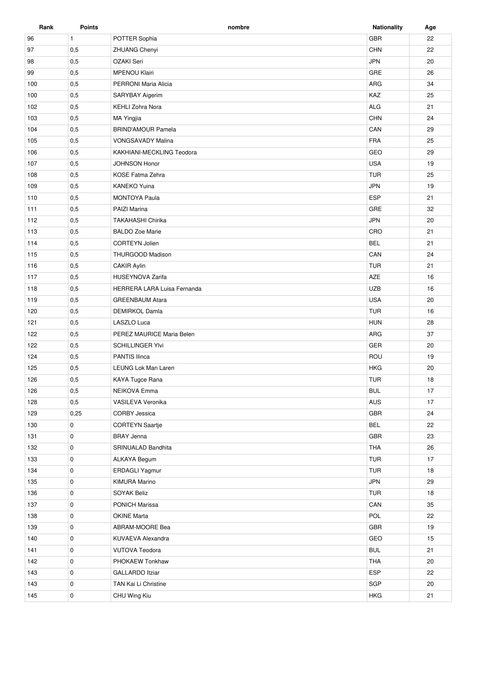| Rank | <b>Points</b> | nombre                      | <b>Nationality</b> | Age |
|------|---------------|-----------------------------|--------------------|-----|
| 96   | $\mathbf{1}$  | POTTER Sophia               | <b>GBR</b>         | 22  |
| 97   | 0,5           | <b>ZHUANG Chenyi</b>        | <b>CHN</b>         | 22  |
| 98   | 0,5           | OZAKI Seri                  | <b>JPN</b>         | 20  |
| 99   | 0,5           | <b>MPENOU Klairi</b>        | GRE                | 26  |
| 100  | 0,5           | PERRONI Maria Alicia        | ARG                | 34  |
| 100  | 0,5           | SARYBAY Aigerim             | KAZ                | 25  |
| 102  | 0,5           | <b>KEHLI Zohra Nora</b>     | ALG                | 21  |
| 103  | 0,5           | <b>MA Yingjia</b>           | <b>CHN</b>         | 24  |
| 104  | 0,5           | <b>BRIND'AMOUR Pamela</b>   | CAN                | 29  |
| 105  | 0,5           | <b>VONGSAVADY Malina</b>    | <b>FRA</b>         | 25  |
| 106  | 0,5           | KAKHIANI-MECKLING Teodora   | GEO                | 29  |
| 107  | 0,5           | <b>JOHNSON Honor</b>        | <b>USA</b>         | 19  |
| 108  | 0,5           | <b>KOSE Fatma Zehra</b>     | <b>TUR</b>         | 25  |
| 109  | 0,5           | <b>KANEKO Yuina</b>         | <b>JPN</b>         | 19  |
| 110  | 0,5           | <b>MONTOYA Paula</b>        | <b>ESP</b>         | 21  |
| 111  | 0,5           | PAIZI Marina                | GRE                | 32  |
| 112  | 0,5           | <b>TAKAHASHI Chirika</b>    | <b>JPN</b>         | 20  |
| 113  | 0,5           | <b>BALDO Zoe Marie</b>      | CRO                | 21  |
| 114  | 0,5           | CORTEYN Jolien              | <b>BEL</b>         | 21  |
| 115  | 0,5           | THURGOOD Madison            | CAN                | 24  |
| 116  | 0,5           | <b>CAKIR Aylin</b>          | <b>TUR</b>         | 21  |
| 117  | 0,5           | <b>HUSEYNOVA Zarifa</b>     | AZE                | 16  |
| 118  | 0,5           | HERRERA LARA Luisa Fernanda | <b>UZB</b>         | 16  |
| 119  | 0,5           | <b>GREENBAUM Atara</b>      | <b>USA</b>         | 20  |
| 120  | 0,5           | <b>DEMIRKOL Damla</b>       | <b>TUR</b>         | 16  |
| 121  | 0,5           | LASZLO Luca                 | <b>HUN</b>         | 28  |
| 122  | 0,5           | PEREZ MAURICE Maria Belen   | ARG                | 37  |
| 122  | 0,5           | <b>SCHILLINGER YIvi</b>     | <b>GER</b>         | 20  |
| 124  | 0,5           | <b>PANTIS Ilinca</b>        | ROU                | 19  |
| 125  | 0,5           | <b>LEUNG Lok Man Laren</b>  | <b>HKG</b>         | 20  |
| 126  | 0,5           | KAYA Tugce Rana             | <b>TUR</b>         | 18  |
| 126  | 0,5           | NEIKOVA Emma                | <b>BUL</b>         | 17  |
| 128  | 0,5           | VASILEVA Veronika           | AUS                | 17  |
| 129  | 0,25          | CORBY Jessica               | <b>GBR</b>         | 24  |
| 130  | 0             | <b>CORTEYN Saartje</b>      | <b>BEL</b>         | 22  |
| 131  | 0             | <b>BRAY Jenna</b>           | GBR                | 23  |
| 132  | 0             | SRINUALAD Bandhita          | THA                | 26  |
| 133  | 0             | <b>ALKAYA Begum</b>         | TUR                | 17  |
| 134  | 0             | <b>ERDAGLI Yagmur</b>       | TUR                | 18  |
| 135  | 0             | <b>KIMURA Marino</b>        | <b>JPN</b>         | 29  |
| 136  | 0             | <b>SOYAK Beliz</b>          | <b>TUR</b>         | 18  |
| 137  | 0             | <b>PONICH Marissa</b>       | CAN                | 35  |
| 138  | 0             | <b>OKINE Marta</b>          | POL                | 22  |
| 139  | 0             | ABRAM-MOORE Bea             | GBR                | 19  |
| 140  | 0             | KUVAEVA Alexandra           | GEO                | 15  |
| 141  | $\mathbf 0$   | <b>VUTOVA Teodora</b>       | <b>BUL</b>         | 21  |
| 142  | 0             | PHOKAEW Tonkhaw             | THA                | 20  |
| 143  | 0             | <b>GALLARDO Itziar</b>      | <b>ESP</b>         | 22  |
| 143  | 0             | TAN Kai Li Christine        | SGP                | 20  |
|      |               |                             |                    |     |
| 145  | 0             | CHU Wing Kiu                | <b>HKG</b>         | 21  |